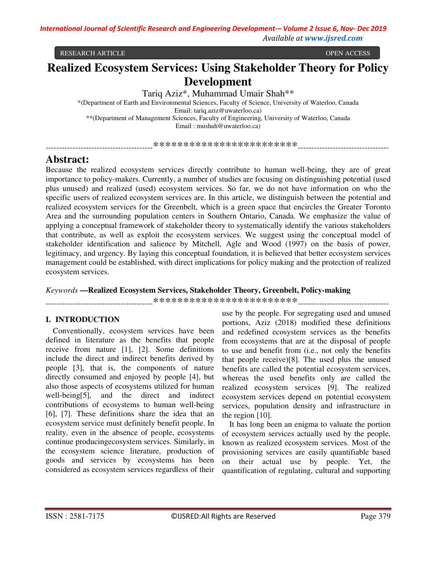RESEARCH ARTICLE OPEN ACCESS

# **Realized Ecosystem Services: Using Stakeholder Theory for Policy Development**

Tariq Aziz\*, Muhammad Umair Shah\*\*

\*(Department of Earth and Environmental Sciences, Faculty of Science, University of Waterloo, Canada Email: tariq.aziz@uwaterloo.ca) \*\*(Department of Management Sciences, Faculty of Engineering, University of Waterloo, Canada Email : mushah@uwaterloo.ca)

----------------------------------------\*\*\*\*\*\*\*\*\*\*\*\*\*\*\*\*\*\*\*\*\*\*\*\*----------------------------------

# **Abstract:**

Because the realized ecosystem services directly contribute to human well-being, they are of great importance to policy-makers. Currently, a number of studies are focusing on distinguishing potential (used plus unused) and realized (used) ecosystem services. So far, we do not have information on who the specific users of realized ecosystem services are. In this article, we distinguish between the potential and realized ecosystem services for the Greenbelt, which is a green space that encircles the Greater Toronto Area and the surrounding population centers in Southern Ontario, Canada. We emphasize the value of applying a conceptual framework of stakeholder theory to systematically identify the various stakeholders that contribute, as well as exploit the ecosystem services. We suggest using the conceptual model of stakeholder identification and salience by Mitchell, Agle and Wood (1997) on the basis of power, legitimacy, and urgency. By laying this conceptual foundation, it is believed that better ecosystem services management could be established, with direct implications for policy making and the protection of realized ecosystem services.

*Keywords* **—Realized Ecosystem Services, Stakeholder Theory, Greenbelt, Policy-making**

----------------------------------------\*\*\*\*\*\*\*\*\*\*\*\*\*\*\*\*\*\*\*\*\*\*\*\*----------------------------------

## **I. INTRODUCTION**

Conventionally, ecosystem services have been defined in literature as the benefits that people receive from nature [1], [2]. Some definitions include the direct and indirect benefits derived by people [3], that is, the components of nature directly consumed and enjoyed by people [4], but also those aspects of ecosystems utilized for human well-being[5], and the direct and indirect contributions of ecosystems to human well-being [6], [7]. These definitions share the idea that an ecosystem service must definitely benefit people. In reality, even in the absence of people, ecosystems continue producingecosystem services. Similarly, in the ecosystem science literature, production of goods and services by ecosystems has been considered as ecosystem services regardless of their

use by the people. For segregating used and unused portions, Aziz (2018) modified these definitions and redefined ecosystem services as the benefits from ecosystems that are at the disposal of people to use and benefit from (i.e., not only the benefits that people receive)[8]. The used plus the unused benefits are called the potential ecosystem services, whereas the used benefits only are called the realized ecosystem services [9]. The realized ecosystem services depend on potential ecosystem services, population density and infrastructure in the region [10].

It has long been an enigma to valuate the portion of ecosystem services actually used by the people, known as realized ecosystem services. Most of the provisioning services are easily quantifiable based on their actual use by people. Yet, the quantification of regulating, cultural and supporting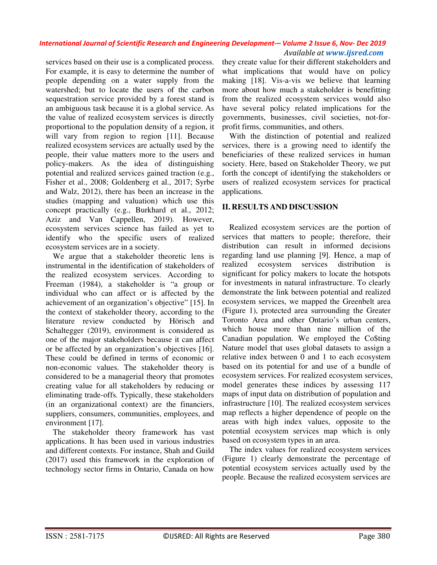# *International Journal of Scientific Research and Engineering Development-– Volume 2 Issue 6, Nov- Dec 2019*

 *Available at www.ijsred.com*

services based on their use is a complicated process. For example, it is easy to determine the number of people depending on a water supply from the watershed; but to locate the users of the carbon sequestration service provided by a forest stand is an ambiguous task because it is a global service. As the value of realized ecosystem services is directly proportional to the population density of a region, it will vary from region to region [11]. Because realized ecosystem services are actually used by the people, their value matters more to the users and policy-makers. As the idea of distinguishing potential and realized services gained traction (e.g., Fisher et al., 2008; Goldenberg et al., 2017; Syrbe and Walz, 2012), there has been an increase in the studies (mapping and valuation) which use this concept practically (e.g., Burkhard et al., 2012; Aziz and Van Cappellen, 2019). However, ecosystem services science has failed as yet to identify who the specific users of realized ecosystem services are in a society.

We argue that a stakeholder theoretic lens is instrumental in the identification of stakeholders of the realized ecosystem services. According to Freeman (1984), a stakeholder is "a group or individual who can affect or is affected by the achievement of an organization's objective" [15]. In the context of stakeholder theory, according to the literature review conducted by Hörisch and Schaltegger (2019), environment is considered as one of the major stakeholders because it can affect or be affected by an organization's objectives [16]. These could be defined in terms of economic or non-economic values. The stakeholder theory is considered to be a managerial theory that promotes creating value for all stakeholders by reducing or eliminating trade-offs. Typically, these stakeholders (in an organizational context) are the financiers, suppliers, consumers, communities, employees, and environment [17].

The stakeholder theory framework has vast applications. It has been used in various industries and different contexts. For instance, Shah and Guild (2017) used this framework in the exploration of technology sector firms in Ontario, Canada on how

they create value for their different stakeholders and what implications that would have on policy making [18]. Vis-a-vis we believe that learning more about how much a stakeholder is benefitting from the realized ecosystem services would also have several policy related implications for the governments, businesses, civil societies, not-forprofit firms, communities, and others.

With the distinction of potential and realized services, there is a growing need to identify the beneficiaries of these realized services in human society. Here, based on Stakeholder Theory, we put forth the concept of identifying the stakeholders or users of realized ecosystem services for practical applications.

### **II. RESULTS AND DISCUSSION**

Realized ecosystem services are the portion of services that matters to people; therefore, their distribution can result in informed decisions regarding land use planning [9]. Hence, a map of realized ecosystem services distribution is significant for policy makers to locate the hotspots for investments in natural infrastructure. To clearly demonstrate the link between potential and realized ecosystem services, we mapped the Greenbelt area (Figure 1), protected area surrounding the Greater Toronto Area and other Ontario's urban centers, which house more than nine million of the Canadian population. We employed the Co\$ting Nature model that uses global datasets to assign a relative index between 0 and 1 to each ecosystem based on its potential for and use of a bundle of ecosystem services. For realized ecosystem services, model generates these indices by assessing 117 maps of input data on distribution of population and infrastructure [10]. The realized ecosystem services map reflects a higher dependence of people on the areas with high index values, opposite to the potential ecosystem services map which is only based on ecosystem types in an area.

The index values for realized ecosystem services (Figure 1) clearly demonstrate the percentage of potential ecosystem services actually used by the people. Because the realized ecosystem services are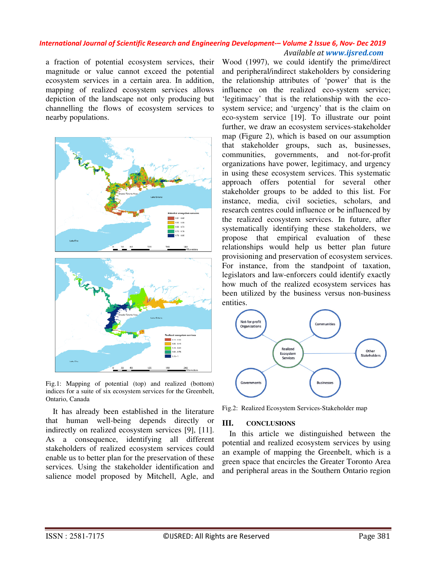#### *International Journal of Scientific Research and Engineering Development-– Volume 2 Issue 6, Nov- Dec 2019 Available at www.ijsred.com*

a fraction of potential ecosystem services, their magnitude or value cannot exceed the potential ecosystem services in a certain area. In addition, mapping of realized ecosystem services allows depiction of the landscape not only producing but channelling the flows of ecosystem services to nearby populations.



Fig.1: Mapping of potential (top) and realized (bottom) indices for a suite of six ecosystem services for the Greenbelt, Ontario, Canada

It has already been established in the literature that human well-being depends directly or indirectly on realized ecosystem services [9], [11]. As a consequence, identifying all different stakeholders of realized ecosystem services could enable us to better plan for the preservation of these services. Using the stakeholder identification and salience model proposed by Mitchell, Agle, and

Wood (1997), we could identify the prime/direct and peripheral/indirect stakeholders by considering the relationship attributes of 'power' that is the influence on the realized eco-system service; 'legitimacy' that is the relationship with the ecosystem service; and 'urgency' that is the claim on eco-system service [19]. To illustrate our point further, we draw an ecosystem services-stakeholder map (Figure 2), which is based on our assumption that stakeholder groups, such as, businesses, communities, governments, and not-for-profit organizations have power, legitimacy, and urgency in using these ecosystem services. This systematic approach offers potential for several other stakeholder groups to be added to this list. For instance, media, civil societies, scholars, and research centres could influence or be influenced by the realized ecosystem services. In future, after systematically identifying these stakeholders, we propose that empirical evaluation of these relationships would help us better plan future provisioning and preservation of ecosystem services. For instance, from the standpoint of taxation, legislators and law-enforcers could identify exactly how much of the realized ecosystem services has been utilized by the business versus non-business entities.



Fig.2: Realized Ecosystem Services-Stakeholder map

### **III. CONCLUSIONS**

In this article we distinguished between the potential and realized ecosystem services by using an example of mapping the Greenbelt, which is a green space that encircles the Greater Toronto Area and peripheral areas in the Southern Ontario region